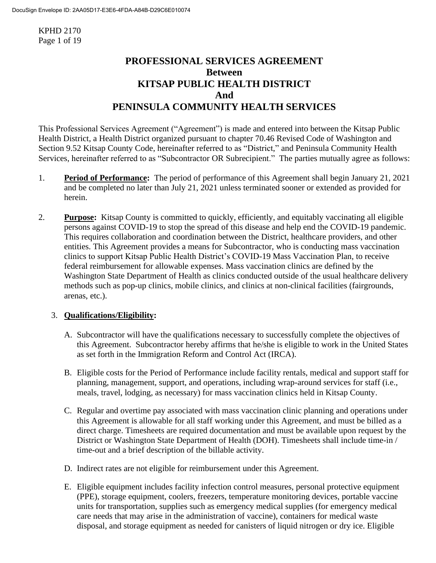KPHD 2170 Page 1 of 19

# **PROFESSIONAL SERVICES AGREEMENT Between KITSAP PUBLIC HEALTH DISTRICT And PENINSULA COMMUNITY HEALTH SERVICES**

This Professional Services Agreement ("Agreement") is made and entered into between the Kitsap Public Health District, a Health District organized pursuant to chapter 70.46 Revised Code of Washington and Section 9.52 Kitsap County Code, hereinafter referred to as "District," and Peninsula Community Health Services, hereinafter referred to as "Subcontractor OR Subrecipient." The parties mutually agree as follows:

- 1. **Period of Performance:** The period of performance of this Agreement shall begin January 21, 2021 and be completed no later than July 21, 2021 unless terminated sooner or extended as provided for herein.
- 2. **Purpose:** Kitsap County is committed to quickly, efficiently, and equitably vaccinating all eligible persons against COVID-19 to stop the spread of this disease and help end the COVID-19 pandemic. This requires collaboration and coordination between the District, healthcare providers, and other entities. This Agreement provides a means for Subcontractor, who is conducting mass vaccination clinics to support Kitsap Public Health District's COVID-19 Mass Vaccination Plan, to receive federal reimbursement for allowable expenses. Mass vaccination clinics are defined by the Washington State Department of Health as clinics conducted outside of the usual healthcare delivery methods such as pop-up clinics, mobile clinics, and clinics at non-clinical facilities (fairgrounds, arenas, etc.).

## 3. **Qualifications/Eligibility:**

- A. Subcontractor will have the qualifications necessary to successfully complete the objectives of this Agreement. Subcontractor hereby affirms that he/she is eligible to work in the United States as set forth in the Immigration Reform and Control Act (IRCA).
- B. Eligible costs for the Period of Performance include facility rentals, medical and support staff for planning, management, support, and operations, including wrap-around services for staff (i.e., meals, travel, lodging, as necessary) for mass vaccination clinics held in Kitsap County.
- C. Regular and overtime pay associated with mass vaccination clinic planning and operations under this Agreement is allowable for all staff working under this Agreement, and must be billed as a direct charge. Timesheets are required documentation and must be available upon request by the District or Washington State Department of Health (DOH). Timesheets shall include time-in / time-out and a brief description of the billable activity.
- D. Indirect rates are not eligible for reimbursement under this Agreement.
- E. Eligible equipment includes facility infection control measures, personal protective equipment (PPE), storage equipment, coolers, freezers, temperature monitoring devices, portable vaccine units for transportation, supplies such as emergency medical supplies (for emergency medical care needs that may arise in the administration of vaccine), containers for medical waste disposal, and storage equipment as needed for canisters of liquid nitrogen or dry ice. Eligible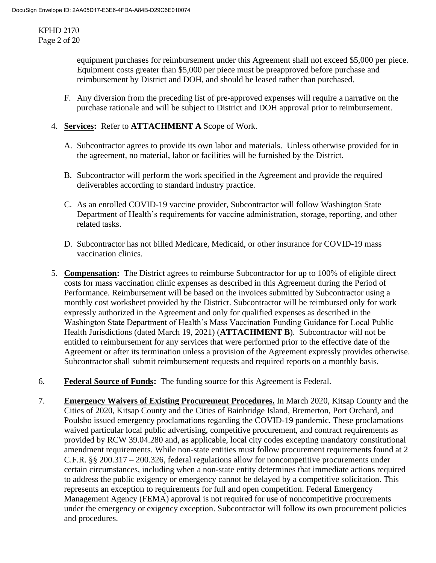KPHD 2170 Page 2 of 20

> equipment purchases for reimbursement under this Agreement shall not exceed \$5,000 per piece. Equipment costs greater than \$5,000 per piece must be preapproved before purchase and reimbursement by District and DOH, and should be leased rather than purchased.

- F. Any diversion from the preceding list of pre-approved expenses will require a narrative on the purchase rationale and will be subject to District and DOH approval prior to reimbursement.
- 4. **Services:** Refer to **ATTACHMENT A** Scope of Work.
	- A. Subcontractor agrees to provide its own labor and materials. Unless otherwise provided for in the agreement, no material, labor or facilities will be furnished by the District.
	- B. Subcontractor will perform the work specified in the Agreement and provide the required deliverables according to standard industry practice.
	- C. As an enrolled COVID-19 vaccine provider, Subcontractor will follow Washington State Department of Health's requirements for vaccine administration, storage, reporting, and other related tasks.
	- D. Subcontractor has not billed Medicare, Medicaid, or other insurance for COVID-19 mass vaccination clinics.
- 5. **Compensation:** The District agrees to reimburse Subcontractor for up to 100% of eligible direct costs for mass vaccination clinic expenses as described in this Agreement during the Period of Performance. Reimbursement will be based on the invoices submitted by Subcontractor using a monthly cost worksheet provided by the District. Subcontractor will be reimbursed only for work expressly authorized in the Agreement and only for qualified expenses as described in the Washington State Department of Health's Mass Vaccination Funding Guidance for Local Public Health Jurisdictions (dated March 19, 2021) (**ATTACHMENT B**). Subcontractor will not be entitled to reimbursement for any services that were performed prior to the effective date of the Agreement or after its termination unless a provision of the Agreement expressly provides otherwise. Subcontractor shall submit reimbursement requests and required reports on a monthly basis.
- 6. **Federal Source of Funds:** The funding source for this Agreement is Federal.
- 7. **Emergency Waivers of Existing Procurement Procedures.** In March 2020, Kitsap County and the Cities of 2020, Kitsap County and the Cities of Bainbridge Island, Bremerton, Port Orchard, and Poulsbo issued emergency proclamations regarding the COVID-19 pandemic. These proclamations waived particular local public advertising, competitive procurement, and contract requirements as provided by RCW 39.04.280 and, as applicable, local city codes excepting mandatory constitutional amendment requirements. While non-state entities must follow procurement requirements found at 2 C.F.R. §§ 200.317 – 200.326, federal regulations allow for noncompetitive procurements under certain circumstances, including when a non-state entity determines that immediate actions required to address the public exigency or emergency cannot be delayed by a competitive solicitation. This represents an exception to requirements for full and open competition. Federal Emergency Management Agency (FEMA) approval is not required for use of noncompetitive procurements under the emergency or exigency exception. Subcontractor will follow its own procurement policies and procedures.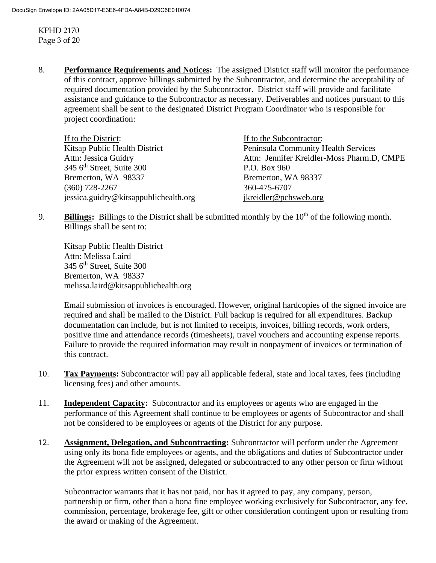KPHD 2170 Page 3 of 20

8. **Performance Requirements and Notices:** The assigned District staff will monitor the performance of this contract, approve billings submitted by the Subcontractor, and determine the acceptability of required documentation provided by the Subcontractor. District staff will provide and facilitate assistance and guidance to the Subcontractor as necessary. Deliverables and notices pursuant to this agreement shall be sent to the designated District Program Coordinator who is responsible for project coordination:

| If to the District:                   | If to the Subcontractor:                   |
|---------------------------------------|--------------------------------------------|
| Kitsap Public Health District         | Peninsula Community Health Services        |
| Attn: Jessica Guidry                  | Attn: Jennifer Kreidler-Moss Pharm.D, CMPE |
| 345 $6th$ Street, Suite 300           | P.O. Box 960                               |
| Bremerton, WA 98337                   | Bremerton, WA 98337                        |
| $(360)$ 728-2267                      | 360-475-6707                               |
| jessica.guidry@kitsappublichealth.org | jkreidler@pchsweb.org                      |

9. **Billings:** Billings to the District shall be submitted monthly by the 10<sup>th</sup> of the following month. Billings shall be sent to:

Kitsap Public Health District Attn: Melissa Laird  $345$  6<sup>th</sup> Street, Suite 300 Bremerton, WA 98337 melissa.laird@kitsappublichealth.org

Email submission of invoices is encouraged. However, original hardcopies of the signed invoice are required and shall be mailed to the District. Full backup is required for all expenditures. Backup documentation can include, but is not limited to receipts, invoices, billing records, work orders, positive time and attendance records (timesheets), travel vouchers and accounting expense reports. Failure to provide the required information may result in nonpayment of invoices or termination of this contract.

- 10. **Tax Payments:** Subcontractor will pay all applicable federal, state and local taxes, fees (including licensing fees) and other amounts.
- 11. **Independent Capacity:** Subcontractor and its employees or agents who are engaged in the performance of this Agreement shall continue to be employees or agents of Subcontractor and shall not be considered to be employees or agents of the District for any purpose.
- 12. **Assignment, Delegation, and Subcontracting:** Subcontractor will perform under the Agreement using only its bona fide employees or agents, and the obligations and duties of Subcontractor under the Agreement will not be assigned, delegated or subcontracted to any other person or firm without the prior express written consent of the District.

Subcontractor warrants that it has not paid, nor has it agreed to pay, any company, person, partnership or firm, other than a bona fine employee working exclusively for Subcontractor, any fee, commission, percentage, brokerage fee, gift or other consideration contingent upon or resulting from the award or making of the Agreement.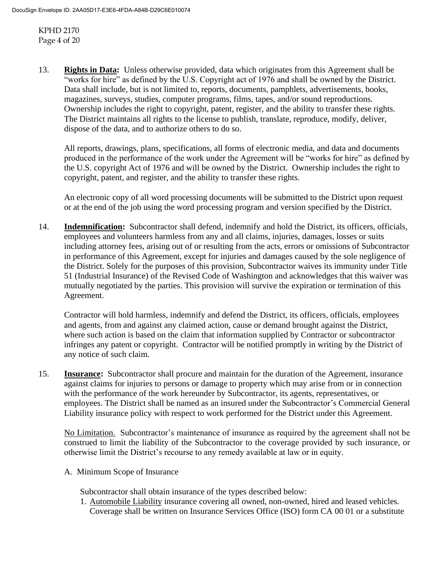KPHD 2170 Page 4 of 20

13. **Rights in Data:** Unless otherwise provided, data which originates from this Agreement shall be "works for hire" as defined by the U.S. Copyright act of 1976 and shall be owned by the District. Data shall include, but is not limited to, reports, documents, pamphlets, advertisements, books, magazines, surveys, studies, computer programs, films, tapes, and/or sound reproductions. Ownership includes the right to copyright, patent, register, and the ability to transfer these rights. The District maintains all rights to the license to publish, translate, reproduce, modify, deliver, dispose of the data, and to authorize others to do so.

All reports, drawings, plans, specifications, all forms of electronic media, and data and documents produced in the performance of the work under the Agreement will be "works for hire" as defined by the U.S. copyright Act of 1976 and will be owned by the District. Ownership includes the right to copyright, patent, and register, and the ability to transfer these rights.

An electronic copy of all word processing documents will be submitted to the District upon request or at the end of the job using the word processing program and version specified by the District.

14. **Indemnification:** Subcontractor shall defend, indemnify and hold the District, its officers, officials, employees and volunteers harmless from any and all claims, injuries, damages, losses or suits including attorney fees, arising out of or resulting from the acts, errors or omissions of Subcontractor in performance of this Agreement, except for injuries and damages caused by the sole negligence of the District. Solely for the purposes of this provision, Subcontractor waives its immunity under Title 51 (Industrial Insurance) of the Revised Code of Washington and acknowledges that this waiver was mutually negotiated by the parties. This provision will survive the expiration or termination of this Agreement.

Contractor will hold harmless, indemnify and defend the District, its officers, officials, employees and agents, from and against any claimed action, cause or demand brought against the District, where such action is based on the claim that information supplied by Contractor or subcontractor infringes any patent or copyright. Contractor will be notified promptly in writing by the District of any notice of such claim.

15. **Insurance:** Subcontractor shall procure and maintain for the duration of the Agreement, insurance against claims for injuries to persons or damage to property which may arise from or in connection with the performance of the work hereunder by Subcontractor, its agents, representatives, or employees. The District shall be named as an insured under the Subcontractor's Commercial General Liability insurance policy with respect to work performed for the District under this Agreement.

No Limitation. Subcontractor's maintenance of insurance as required by the agreement shall not be construed to limit the liability of the Subcontractor to the coverage provided by such insurance, or otherwise limit the District's recourse to any remedy available at law or in equity.

A. Minimum Scope of Insurance

Subcontractor shall obtain insurance of the types described below:

1. Automobile Liability insurance covering all owned, non-owned, hired and leased vehicles. Coverage shall be written on Insurance Services Office (ISO) form CA 00 01 or a substitute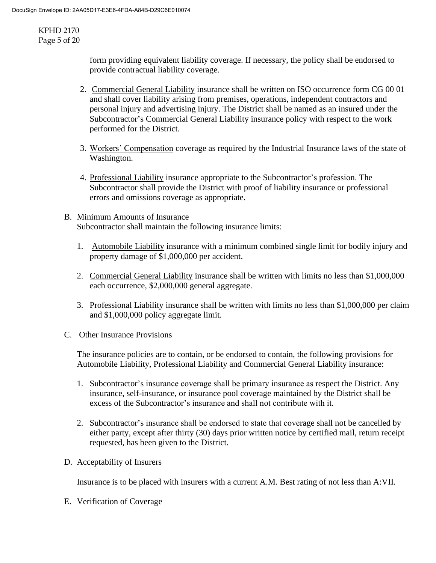KPHD 2170 Page 5 of 20

> form providing equivalent liability coverage. If necessary, the policy shall be endorsed to provide contractual liability coverage.

- 2. Commercial General Liability insurance shall be written on ISO occurrence form CG 00 01 and shall cover liability arising from premises, operations, independent contractors and personal injury and advertising injury. The District shall be named as an insured under the Subcontractor's Commercial General Liability insurance policy with respect to the work performed for the District.
- 3. Workers' Compensation coverage as required by the Industrial Insurance laws of the state of Washington.
- 4. Professional Liability insurance appropriate to the Subcontractor's profession. The Subcontractor shall provide the District with proof of liability insurance or professional errors and omissions coverage as appropriate.
- B. Minimum Amounts of Insurance Subcontractor shall maintain the following insurance limits:
	- 1. Automobile Liability insurance with a minimum combined single limit for bodily injury and property damage of \$1,000,000 per accident.
	- 2. Commercial General Liability insurance shall be written with limits no less than \$1,000,000 each occurrence, \$2,000,000 general aggregate.
	- 3. Professional Liability insurance shall be written with limits no less than \$1,000,000 per claim and \$1,000,000 policy aggregate limit.
- C. Other Insurance Provisions

The insurance policies are to contain, or be endorsed to contain, the following provisions for Automobile Liability, Professional Liability and Commercial General Liability insurance:

- 1. Subcontractor's insurance coverage shall be primary insurance as respect the District. Any insurance, self-insurance, or insurance pool coverage maintained by the District shall be excess of the Subcontractor's insurance and shall not contribute with it.
- 2. Subcontractor's insurance shall be endorsed to state that coverage shall not be cancelled by either party, except after thirty (30) days prior written notice by certified mail, return receipt requested, has been given to the District.
- D. Acceptability of Insurers

Insurance is to be placed with insurers with a current A.M. Best rating of not less than A:VII.

E. Verification of Coverage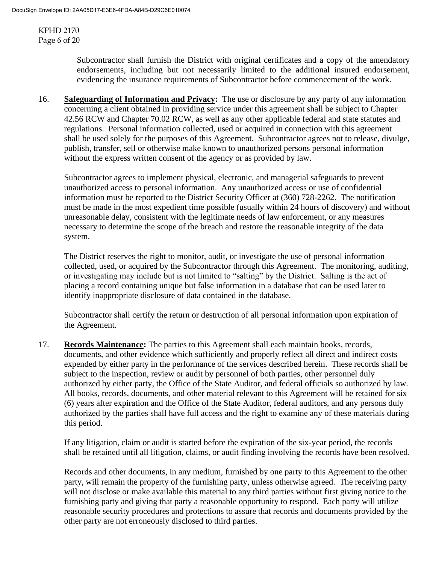KPHD 2170 Page 6 of 20

> Subcontractor shall furnish the District with original certificates and a copy of the amendatory endorsements, including but not necessarily limited to the additional insured endorsement, evidencing the insurance requirements of Subcontractor before commencement of the work.

16. **Safeguarding of Information and Privacy:** The use or disclosure by any party of any information concerning a client obtained in providing service under this agreement shall be subject to Chapter 42.56 RCW and Chapter 70.02 RCW, as well as any other applicable federal and state statutes and regulations. Personal information collected, used or acquired in connection with this agreement shall be used solely for the purposes of this Agreement. Subcontractor agrees not to release, divulge, publish, transfer, sell or otherwise make known to unauthorized persons personal information without the express written consent of the agency or as provided by law.

Subcontractor agrees to implement physical, electronic, and managerial safeguards to prevent unauthorized access to personal information. Any unauthorized access or use of confidential information must be reported to the District Security Officer at (360) 728-2262. The notification must be made in the most expedient time possible (usually within 24 hours of discovery) and without unreasonable delay, consistent with the legitimate needs of law enforcement, or any measures necessary to determine the scope of the breach and restore the reasonable integrity of the data system.

The District reserves the right to monitor, audit, or investigate the use of personal information collected, used, or acquired by the Subcontractor through this Agreement. The monitoring, auditing, or investigating may include but is not limited to "salting" by the District. Salting is the act of placing a record containing unique but false information in a database that can be used later to identify inappropriate disclosure of data contained in the database.

Subcontractor shall certify the return or destruction of all personal information upon expiration of the Agreement.

17. **Records Maintenance:** The parties to this Agreement shall each maintain books, records, documents, and other evidence which sufficiently and properly reflect all direct and indirect costs expended by either party in the performance of the services described herein. These records shall be subject to the inspection, review or audit by personnel of both parties, other personnel duly authorized by either party, the Office of the State Auditor, and federal officials so authorized by law. All books, records, documents, and other material relevant to this Agreement will be retained for six (6) years after expiration and the Office of the State Auditor, federal auditors, and any persons duly authorized by the parties shall have full access and the right to examine any of these materials during this period.

If any litigation, claim or audit is started before the expiration of the six-year period, the records shall be retained until all litigation, claims, or audit finding involving the records have been resolved.

Records and other documents, in any medium, furnished by one party to this Agreement to the other party, will remain the property of the furnishing party, unless otherwise agreed. The receiving party will not disclose or make available this material to any third parties without first giving notice to the furnishing party and giving that party a reasonable opportunity to respond. Each party will utilize reasonable security procedures and protections to assure that records and documents provided by the other party are not erroneously disclosed to third parties.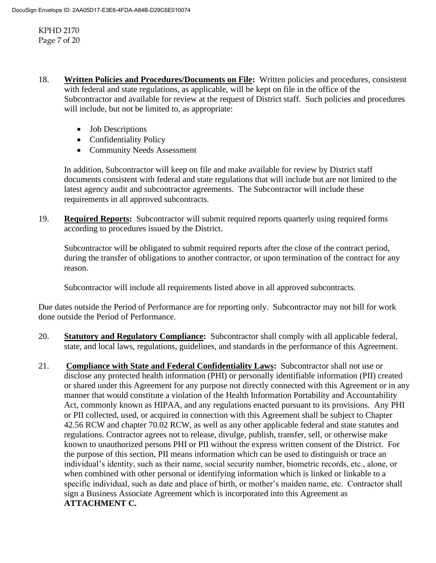KPHD 2170 Page 7 of 20

- 18. **Written Policies and Procedures/Documents on File:** Written policies and procedures, consistent with federal and state regulations, as applicable, will be kept on file in the office of the Subcontractor and available for review at the request of District staff. Such policies and procedures will include, but not be limited to, as appropriate:
	- Job Descriptions
	- Confidentiality Policy
	- Community Needs Assessment

In addition, Subcontractor will keep on file and make available for review by District staff documents consistent with federal and state regulations that will include but are not limited to the latest agency audit and subcontractor agreements. The Subcontractor will include these requirements in all approved subcontracts.

19. **Required Reports:** Subcontractor will submit required reports quarterly using required forms according to procedures issued by the District.

Subcontractor will be obligated to submit required reports after the close of the contract period, during the transfer of obligations to another contractor, or upon termination of the contract for any reason.

Subcontractor will include all requirements listed above in all approved subcontracts.

Due dates outside the Period of Performance are for reporting only. Subcontractor may not bill for work done outside the Period of Performance.

- 20. **Statutory and Regulatory Compliance:** Subcontractor shall comply with all applicable federal, state, and local laws, regulations, guidelines, and standards in the performance of this Agreement.
- 21. **Compliance with State and Federal Confidentiality Laws:** Subcontractor shall not use or disclose any protected health information (PHI) or personally identifiable information (PII) created or shared under this Agreement for any purpose not directly connected with this Agreement or in any manner that would constitute a violation of the Health Information Portability and Accountability Act, commonly known as HIPAA, and any regulations enacted pursuant to its provisions. Any PHI or PII collected, used, or acquired in connection with this Agreement shall be subject to Chapter 42.56 RCW and chapter 70.02 RCW, as well as any other applicable federal and state statutes and regulations. Contractor agrees not to release, divulge, publish, transfer, sell, or otherwise make known to unauthorized persons PHI or PII without the express written consent of the District. For the purpose of this section, PII means information which can be used to distinguish or trace an individual's identity, such as their name, social security number, biometric records, etc., alone, or when combined with other personal or identifying information which is linked or linkable to a specific individual, such as date and place of birth, or mother's maiden name, etc. Contractor shall sign a Business Associate Agreement which is incorporated into this Agreement as **ATTACHMENT C.**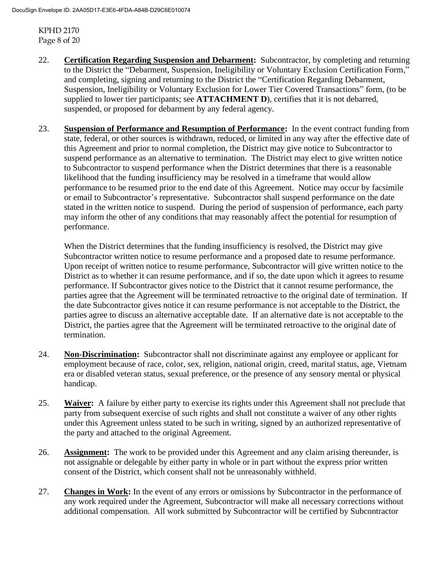KPHD 2170 Page 8 of 20

- 22. **Certification Regarding Suspension and Debarment:** Subcontractor, by completing and returning to the District the "Debarment, Suspension, Ineligibility or Voluntary Exclusion Certification Form," and completing, signing and returning to the District the "Certification Regarding Debarment, Suspension, Ineligibility or Voluntary Exclusion for Lower Tier Covered Transactions" form, (to be supplied to lower tier participants; see **ATTACHMENT D**), certifies that it is not debarred, suspended, or proposed for debarment by any federal agency.
- 23. **Suspension of Performance and Resumption of Performance:** In the event contract funding from state, federal, or other sources is withdrawn, reduced, or limited in any way after the effective date of this Agreement and prior to normal completion, the District may give notice to Subcontractor to suspend performance as an alternative to termination. The District may elect to give written notice to Subcontractor to suspend performance when the District determines that there is a reasonable likelihood that the funding insufficiency may be resolved in a timeframe that would allow performance to be resumed prior to the end date of this Agreement. Notice may occur by facsimile or email to Subcontractor's representative. Subcontractor shall suspend performance on the date stated in the written notice to suspend. During the period of suspension of performance, each party may inform the other of any conditions that may reasonably affect the potential for resumption of performance.

When the District determines that the funding insufficiency is resolved, the District may give Subcontractor written notice to resume performance and a proposed date to resume performance. Upon receipt of written notice to resume performance, Subcontractor will give written notice to the District as to whether it can resume performance, and if so, the date upon which it agrees to resume performance. If Subcontractor gives notice to the District that it cannot resume performance, the parties agree that the Agreement will be terminated retroactive to the original date of termination. If the date Subcontractor gives notice it can resume performance is not acceptable to the District, the parties agree to discuss an alternative acceptable date. If an alternative date is not acceptable to the District, the parties agree that the Agreement will be terminated retroactive to the original date of termination.

- 24. **Non-Discrimination:** Subcontractor shall not discriminate against any employee or applicant for employment because of race, color, sex, religion, national origin, creed, marital status, age, Vietnam era or disabled veteran status, sexual preference, or the presence of any sensory mental or physical handicap.
- 25. **Waiver:** A failure by either party to exercise its rights under this Agreement shall not preclude that party from subsequent exercise of such rights and shall not constitute a waiver of any other rights under this Agreement unless stated to be such in writing, signed by an authorized representative of the party and attached to the original Agreement.
- 26. **Assignment:** The work to be provided under this Agreement and any claim arising thereunder, is not assignable or delegable by either party in whole or in part without the express prior written consent of the District, which consent shall not be unreasonably withheld.
- 27. **Changes in Work:** In the event of any errors or omissions by Subcontractor in the performance of any work required under the Agreement, Subcontractor will make all necessary corrections without additional compensation. All work submitted by Subcontractor will be certified by Subcontractor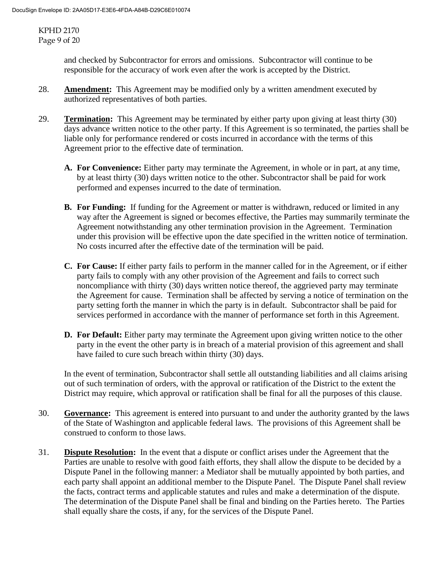KPHD 2170 Page 9 of 20

> and checked by Subcontractor for errors and omissions. Subcontractor will continue to be responsible for the accuracy of work even after the work is accepted by the District.

- 28. **Amendment:** This Agreement may be modified only by a written amendment executed by authorized representatives of both parties.
- 29. **Termination:** This Agreement may be terminated by either party upon giving at least thirty (30) days advance written notice to the other party. If this Agreement is so terminated, the parties shall be liable only for performance rendered or costs incurred in accordance with the terms of this Agreement prior to the effective date of termination.
	- **A. For Convenience:** Either party may terminate the Agreement, in whole or in part, at any time, by at least thirty (30) days written notice to the other. Subcontractor shall be paid for work performed and expenses incurred to the date of termination.
	- **B. For Funding:** If funding for the Agreement or matter is withdrawn, reduced or limited in any way after the Agreement is signed or becomes effective, the Parties may summarily terminate the Agreement notwithstanding any other termination provision in the Agreement. Termination under this provision will be effective upon the date specified in the written notice of termination. No costs incurred after the effective date of the termination will be paid.
	- **C. For Cause:** If either party fails to perform in the manner called for in the Agreement, or if either party fails to comply with any other provision of the Agreement and fails to correct such noncompliance with thirty (30) days written notice thereof, the aggrieved party may terminate the Agreement for cause. Termination shall be affected by serving a notice of termination on the party setting forth the manner in which the party is in default. Subcontractor shall be paid for services performed in accordance with the manner of performance set forth in this Agreement.
	- **D. For Default:** Either party may terminate the Agreement upon giving written notice to the other party in the event the other party is in breach of a material provision of this agreement and shall have failed to cure such breach within thirty (30) days.

In the event of termination, Subcontractor shall settle all outstanding liabilities and all claims arising out of such termination of orders, with the approval or ratification of the District to the extent the District may require, which approval or ratification shall be final for all the purposes of this clause.

- 30. **Governance:** This agreement is entered into pursuant to and under the authority granted by the laws of the State of Washington and applicable federal laws. The provisions of this Agreement shall be construed to conform to those laws.
- 31. **Dispute Resolution:** In the event that a dispute or conflict arises under the Agreement that the Parties are unable to resolve with good faith efforts, they shall allow the dispute to be decided by a Dispute Panel in the following manner: a Mediator shall be mutually appointed by both parties, and each party shall appoint an additional member to the Dispute Panel. The Dispute Panel shall review the facts, contract terms and applicable statutes and rules and make a determination of the dispute. The determination of the Dispute Panel shall be final and binding on the Parties hereto. The Parties shall equally share the costs, if any, for the services of the Dispute Panel.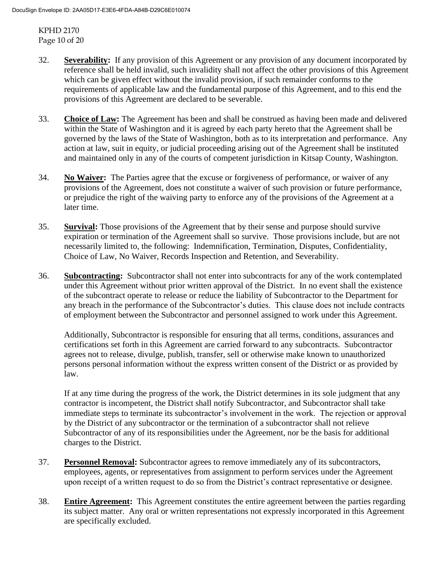KPHD 2170 Page 10 of 20

- 32. **Severability:** If any provision of this Agreement or any provision of any document incorporated by reference shall be held invalid, such invalidity shall not affect the other provisions of this Agreement which can be given effect without the invalid provision, if such remainder conforms to the requirements of applicable law and the fundamental purpose of this Agreement, and to this end the provisions of this Agreement are declared to be severable.
- 33. **Choice of Law:** The Agreement has been and shall be construed as having been made and delivered within the State of Washington and it is agreed by each party hereto that the Agreement shall be governed by the laws of the State of Washington, both as to its interpretation and performance. Any action at law, suit in equity, or judicial proceeding arising out of the Agreement shall be instituted and maintained only in any of the courts of competent jurisdiction in Kitsap County, Washington.
- 34. **No Waiver:** The Parties agree that the excuse or forgiveness of performance, or waiver of any provisions of the Agreement, does not constitute a waiver of such provision or future performance, or prejudice the right of the waiving party to enforce any of the provisions of the Agreement at a later time.
- 35. **Survival:** Those provisions of the Agreement that by their sense and purpose should survive expiration or termination of the Agreement shall so survive. Those provisions include, but are not necessarily limited to, the following: Indemnification, Termination, Disputes, Confidentiality, Choice of Law, No Waiver, Records Inspection and Retention, and Severability.
- 36. **Subcontracting:** Subcontractor shall not enter into subcontracts for any of the work contemplated under this Agreement without prior written approval of the District. In no event shall the existence of the subcontract operate to release or reduce the liability of Subcontractor to the Department for any breach in the performance of the Subcontractor's duties. This clause does not include contracts of employment between the Subcontractor and personnel assigned to work under this Agreement.

Additionally, Subcontractor is responsible for ensuring that all terms, conditions, assurances and certifications set forth in this Agreement are carried forward to any subcontracts. Subcontractor agrees not to release, divulge, publish, transfer, sell or otherwise make known to unauthorized persons personal information without the express written consent of the District or as provided by law.

If at any time during the progress of the work, the District determines in its sole judgment that any contractor is incompetent, the District shall notify Subcontractor, and Subcontractor shall take immediate steps to terminate its subcontractor's involvement in the work. The rejection or approval by the District of any subcontractor or the termination of a subcontractor shall not relieve Subcontractor of any of its responsibilities under the Agreement, nor be the basis for additional charges to the District.

- 37. **Personnel Removal:** Subcontractor agrees to remove immediately any of its subcontractors, employees, agents, or representatives from assignment to perform services under the Agreement upon receipt of a written request to do so from the District's contract representative or designee.
- 38. **Entire Agreement:** This Agreement constitutes the entire agreement between the parties regarding its subject matter. Any oral or written representations not expressly incorporated in this Agreement are specifically excluded.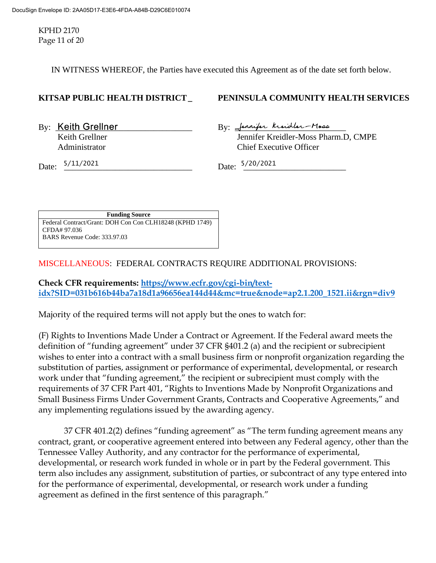KPHD 2170 Page 11 of 20

IN WITNESS WHEREOF, the Parties have executed this Agreement as of the date set forth below.

# **KITSAP PUBLIC HEALTH DISTRICT\_ PENINSULA COMMUNITY HEALTH SERVICES**

 $By:$  Keith Grellner  $By:$  Jennifer kindler-Moss Keith Grellner *Jennifer Kreidler-Moss Pharm.D, CMPE* Administrator Chief Executive Officer

Date:  $\frac{5/11/2021}{5/20/2021}$  Date:  $\frac{5/20/2021}{5/20/2021}$ 

**Funding Source** Federal Contract/Grant: DOH Con Con CLH18248 (KPHD 1749) CFDA# 97.036 BARS Revenue Code: 333.97.03

MISCELLANEOUS: FEDERAL CONTRACTS REQUIRE ADDITIONAL PROVISIONS:

**Check CFR requirements: [https://www.ecfr.gov/cgi-bin/text](https://www.ecfr.gov/cgi-bin/text-idx?SID=031b616b44ba7a18d1a96656ea144d44&mc=true&node=ap2.1.200_1521.ii&rgn=div9)[idx?SID=031b616b44ba7a18d1a96656ea144d44&mc=true&node=ap2.1.200\\_1521.ii&rgn=div9](https://www.ecfr.gov/cgi-bin/text-idx?SID=031b616b44ba7a18d1a96656ea144d44&mc=true&node=ap2.1.200_1521.ii&rgn=div9)**

Majority of the required terms will not apply but the ones to watch for:

(F) Rights to Inventions Made Under a Contract or Agreement. If the Federal award meets the definition of "funding agreement" under 37 CFR §401.2 (a) and the recipient or subrecipient wishes to enter into a contract with a small business firm or nonprofit organization regarding the substitution of parties, assignment or performance of experimental, developmental, or research work under that "funding agreement," the recipient or subrecipient must comply with the requirements of 37 CFR Part 401, "Rights to Inventions Made by Nonprofit Organizations and Small Business Firms Under Government Grants, Contracts and Cooperative Agreements," and any implementing regulations issued by the awarding agency.

37 CFR 401.2(2) defines "funding agreement" as "The term funding agreement means any contract, grant, or cooperative agreement entered into between any Federal agency, other than the Tennessee Valley Authority, and any contractor for the performance of experimental, developmental, or research work funded in whole or in part by the Federal government. This term also includes any assignment, substitution of parties, or subcontract of any type entered into for the performance of experimental, developmental, or research work under a funding agreement as defined in the first sentence of this paragraph."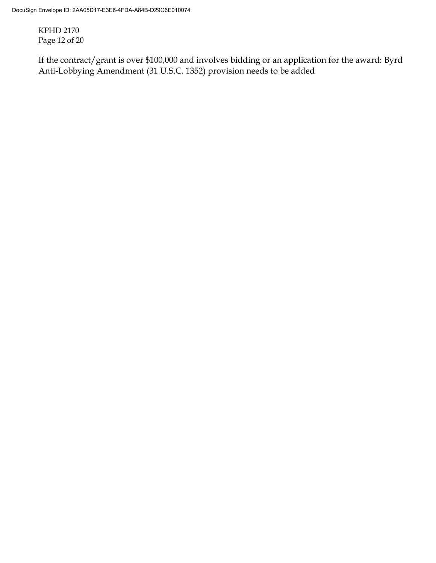KPHD 2170 Page 12 of 20

If the contract/grant is over \$100,000 and involves bidding or an application for the award: Byrd Anti-Lobbying Amendment (31 U.S.C. 1352) provision needs to be added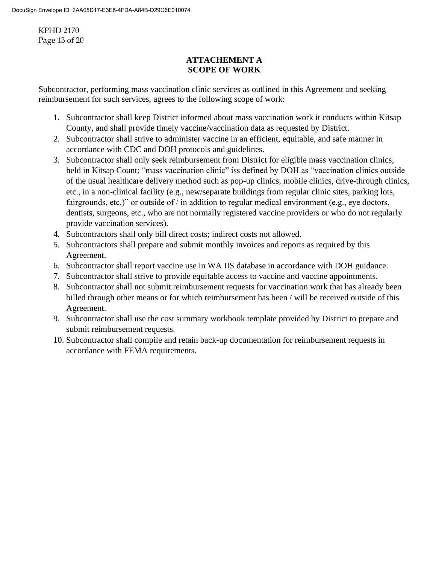KPHD 2170 Page 13 of 20

# **ATTACHEMENT A SCOPE OF WORK**

Subcontractor, performing mass vaccination clinic services as outlined in this Agreement and seeking reimbursement for such services, agrees to the following scope of work:

- 1. Subcontractor shall keep District informed about mass vaccination work it conducts within Kitsap County, and shall provide timely vaccine/vaccination data as requested by District.
- 2. Subcontractor shall strive to administer vaccine in an efficient, equitable, and safe manner in accordance with CDC and DOH protocols and guidelines.
- 3. Subcontractor shall only seek reimbursement from District for eligible mass vaccination clinics, held in Kitsap Count; "mass vaccination clinic" iss defined by DOH as "vaccination clinics outside of the usual healthcare delivery method such as pop-up clinics, mobile clinics, drive-through clinics, etc., in a non-clinical facility (e.g., new/separate buildings from regular clinic sites, parking lots, fairgrounds, etc.)" or outside of / in addition to regular medical environment (e.g., eye doctors, dentists, surgeons, etc., who are not normally registered vaccine providers or who do not regularly provide vaccination services).
- 4. Subcontractors shall only bill direct costs; indirect costs not allowed.
- 5. Subcontractors shall prepare and submit monthly invoices and reports as required by this Agreement.
- 6. Subcontractor shall report vaccine use in WA IIS database in accordance with DOH guidance.
- 7. Subcontractor shall strive to provide equitable access to vaccine and vaccine appointments.
- 8. Subcontractor shall not submit reimbursement requests for vaccination work that has already been billed through other means or for which reimbursement has been / will be received outside of this Agreement.
- 9. Subcontractor shall use the cost summary workbook template provided by District to prepare and submit reimbursement requests.
- 10. Subcontractor shall compile and retain back-up documentation for reimbursement requests in accordance with FEMA requirements.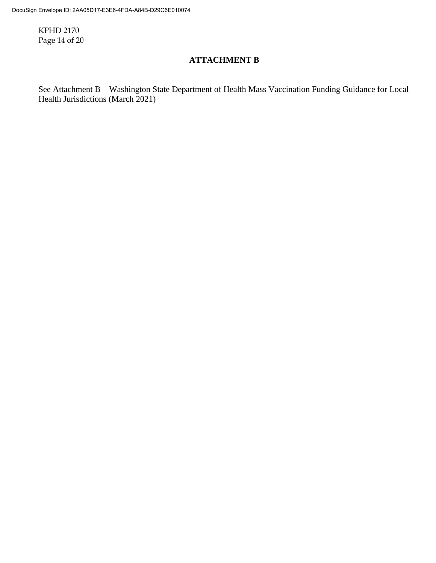KPHD 2170 Page 14 of 20

# **ATTACHMENT B**

See Attachment B – Washington State Department of Health Mass Vaccination Funding Guidance for Local Health Jurisdictions (March 2021)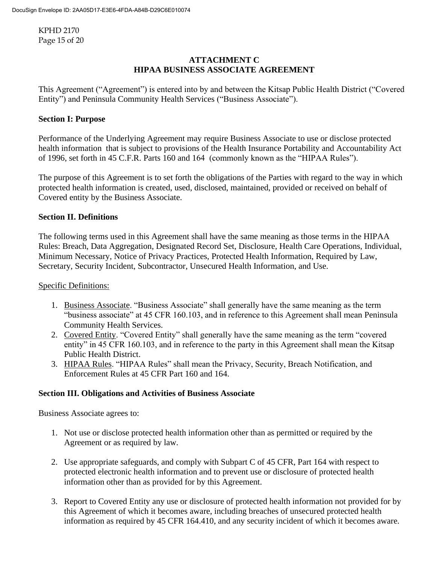KPHD 2170 Page 15 of 20

# **ATTACHMENT C HIPAA BUSINESS ASSOCIATE AGREEMENT**

This Agreement ("Agreement") is entered into by and between the Kitsap Public Health District ("Covered Entity") and Peninsula Community Health Services ("Business Associate").

# **Section I: Purpose**

Performance of the Underlying Agreement may require Business Associate to use or disclose protected health information that is subject to provisions of the Health Insurance Portability and Accountability Act of 1996, set forth in 45 C.F.R. Parts 160 and 164 (commonly known as the "HIPAA Rules").

The purpose of this Agreement is to set forth the obligations of the Parties with regard to the way in which protected health information is created, used, disclosed, maintained, provided or received on behalf of Covered entity by the Business Associate.

## **Section II. Definitions**

The following terms used in this Agreement shall have the same meaning as those terms in the HIPAA Rules: Breach, Data Aggregation, Designated Record Set, Disclosure, Health Care Operations, Individual, Minimum Necessary, Notice of Privacy Practices, Protected Health Information, Required by Law, Secretary, Security Incident, Subcontractor, Unsecured Health Information, and Use.

# Specific Definitions:

- 1. Business Associate. "Business Associate" shall generally have the same meaning as the term "business associate" at 45 CFR 160.103, and in reference to this Agreement shall mean Peninsula Community Health Services.
- 2. Covered Entity. "Covered Entity" shall generally have the same meaning as the term "covered entity" in 45 CFR 160.103, and in reference to the party in this Agreement shall mean the Kitsap Public Health District.
- 3. HIPAA Rules. "HIPAA Rules" shall mean the Privacy, Security, Breach Notification, and Enforcement Rules at 45 CFR Part 160 and 164.

## **Section III. Obligations and Activities of Business Associate**

Business Associate agrees to:

- 1. Not use or disclose protected health information other than as permitted or required by the Agreement or as required by law.
- 2. Use appropriate safeguards, and comply with Subpart C of 45 CFR, Part 164 with respect to protected electronic health information and to prevent use or disclosure of protected health information other than as provided for by this Agreement.
- 3. Report to Covered Entity any use or disclosure of protected health information not provided for by this Agreement of which it becomes aware, including breaches of unsecured protected health information as required by 45 CFR 164.410, and any security incident of which it becomes aware.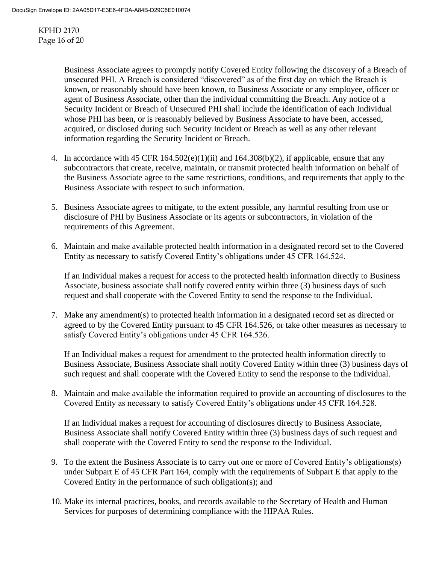KPHD 2170 Page 16 of 20

> Business Associate agrees to promptly notify Covered Entity following the discovery of a Breach of unsecured PHI. A Breach is considered "discovered" as of the first day on which the Breach is known, or reasonably should have been known, to Business Associate or any employee, officer or agent of Business Associate, other than the individual committing the Breach. Any notice of a Security Incident or Breach of Unsecured PHI shall include the identification of each Individual whose PHI has been, or is reasonably believed by Business Associate to have been, accessed, acquired, or disclosed during such Security Incident or Breach as well as any other relevant information regarding the Security Incident or Breach.

- 4. In accordance with 45 CFR  $164.502(e)(1)(ii)$  and  $164.308(b)(2)$ , if applicable, ensure that any subcontractors that create, receive, maintain, or transmit protected health information on behalf of the Business Associate agree to the same restrictions, conditions, and requirements that apply to the Business Associate with respect to such information.
- 5. Business Associate agrees to mitigate, to the extent possible, any harmful resulting from use or disclosure of PHI by Business Associate or its agents or subcontractors, in violation of the requirements of this Agreement.
- 6. Maintain and make available protected health information in a designated record set to the Covered Entity as necessary to satisfy Covered Entity's obligations under 45 CFR 164.524.

If an Individual makes a request for access to the protected health information directly to Business Associate, business associate shall notify covered entity within three (3) business days of such request and shall cooperate with the Covered Entity to send the response to the Individual.

7. Make any amendment(s) to protected health information in a designated record set as directed or agreed to by the Covered Entity pursuant to 45 CFR 164.526, or take other measures as necessary to satisfy Covered Entity's obligations under 45 CFR 164.526.

If an Individual makes a request for amendment to the protected health information directly to Business Associate, Business Associate shall notify Covered Entity within three (3) business days of such request and shall cooperate with the Covered Entity to send the response to the Individual.

8. Maintain and make available the information required to provide an accounting of disclosures to the Covered Entity as necessary to satisfy Covered Entity's obligations under 45 CFR 164.528.

If an Individual makes a request for accounting of disclosures directly to Business Associate, Business Associate shall notify Covered Entity within three (3) business days of such request and shall cooperate with the Covered Entity to send the response to the Individual.

- 9. To the extent the Business Associate is to carry out one or more of Covered Entity's obligations(s) under Subpart E of 45 CFR Part 164, comply with the requirements of Subpart E that apply to the Covered Entity in the performance of such obligation(s); and
- 10. Make its internal practices, books, and records available to the Secretary of Health and Human Services for purposes of determining compliance with the HIPAA Rules.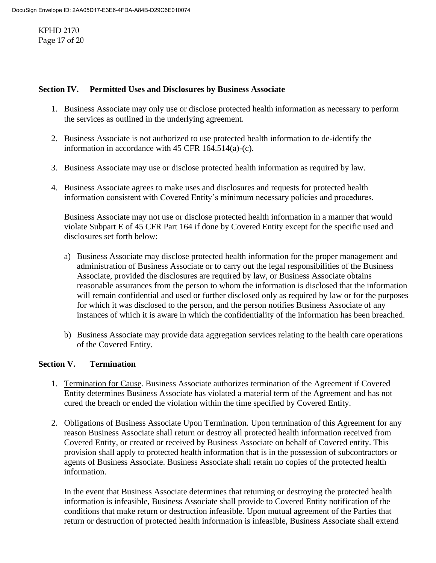KPHD 2170 Page 17 of 20

### **Section IV. Permitted Uses and Disclosures by Business Associate**

- 1. Business Associate may only use or disclose protected health information as necessary to perform the services as outlined in the underlying agreement.
- 2. Business Associate is not authorized to use protected health information to de-identify the information in accordance with 45 CFR 164.514(a)-(c).
- 3. Business Associate may use or disclose protected health information as required by law.
- 4. Business Associate agrees to make uses and disclosures and requests for protected health information consistent with Covered Entity's minimum necessary policies and procedures.

Business Associate may not use or disclose protected health information in a manner that would violate Subpart E of 45 CFR Part 164 if done by Covered Entity except for the specific used and disclosures set forth below:

- a) Business Associate may disclose protected health information for the proper management and administration of Business Associate or to carry out the legal responsibilities of the Business Associate, provided the disclosures are required by law, or Business Associate obtains reasonable assurances from the person to whom the information is disclosed that the information will remain confidential and used or further disclosed only as required by law or for the purposes for which it was disclosed to the person, and the person notifies Business Associate of any instances of which it is aware in which the confidentiality of the information has been breached.
- b) Business Associate may provide data aggregation services relating to the health care operations of the Covered Entity.

## **Section V. Termination**

- 1. Termination for Cause. Business Associate authorizes termination of the Agreement if Covered Entity determines Business Associate has violated a material term of the Agreement and has not cured the breach or ended the violation within the time specified by Covered Entity.
- 2. Obligations of Business Associate Upon Termination. Upon termination of this Agreement for any reason Business Associate shall return or destroy all protected health information received from Covered Entity, or created or received by Business Associate on behalf of Covered entity. This provision shall apply to protected health information that is in the possession of subcontractors or agents of Business Associate. Business Associate shall retain no copies of the protected health information.

In the event that Business Associate determines that returning or destroying the protected health information is infeasible, Business Associate shall provide to Covered Entity notification of the conditions that make return or destruction infeasible. Upon mutual agreement of the Parties that return or destruction of protected health information is infeasible, Business Associate shall extend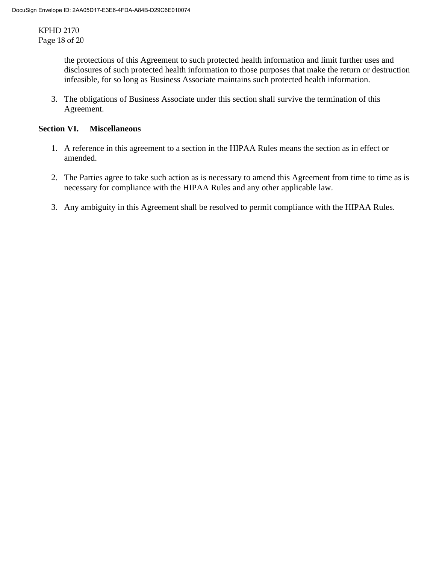KPHD 2170 Page 18 of 20

> the protections of this Agreement to such protected health information and limit further uses and disclosures of such protected health information to those purposes that make the return or destruction infeasible, for so long as Business Associate maintains such protected health information.

3. The obligations of Business Associate under this section shall survive the termination of this Agreement.

## **Section VI. Miscellaneous**

- 1. A reference in this agreement to a section in the HIPAA Rules means the section as in effect or amended.
- 2. The Parties agree to take such action as is necessary to amend this Agreement from time to time as is necessary for compliance with the HIPAA Rules and any other applicable law.
- 3. Any ambiguity in this Agreement shall be resolved to permit compliance with the HIPAA Rules.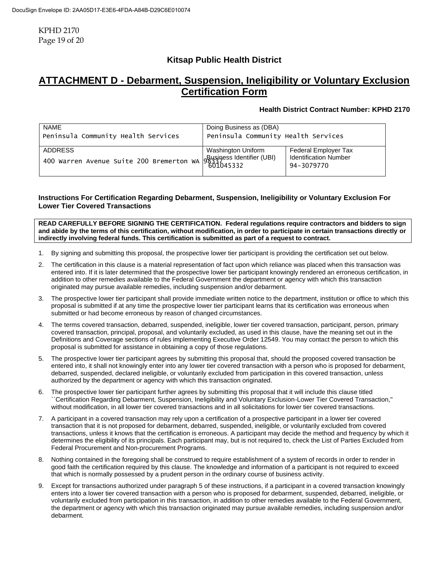KPHD 2170 Page 19 of 20

# **Kitsap Public Health District**

# **ATTACHMENT D - Debarment, Suspension, Ineligibility or Voluntary Exclusion Certification Form**

#### **Health District Contract Number: KPHD 2170**

| NAME<br>Peninsula Community Health Services                               | Doing Business as (DBA)<br>Peninsula Community Health Services |                                                                    |
|---------------------------------------------------------------------------|----------------------------------------------------------------|--------------------------------------------------------------------|
| <b>ADDRESS</b><br>400 warren Avenue Suite 200 Bremerton wA 84398331 (UBI) | Washington Uniform                                             | Federal Employer Tax<br><b>Identification Number</b><br>94-3079770 |

#### **Instructions For Certification Regarding Debarment, Suspension, Ineligibility or Voluntary Exclusion For Lower Tier Covered Transactions**

**READ CAREFULLY BEFORE SIGNING THE CERTIFICATION. Federal regulations require contractors and bidders to sign and abide by the terms of this certification, without modification, in order to participate in certain transactions directly or indirectly involving federal funds. This certification is submitted as part of a request to contract.**

- 1. By signing and submitting this proposal, the prospective lower tier participant is providing the certification set out below.
- 2. The certification in this clause is a material representation of fact upon which reliance was placed when this transaction was entered into. If it is later determined that the prospective lower tier participant knowingly rendered an erroneous certification, in addition to other remedies available to the Federal Government the department or agency with which this transaction originated may pursue available remedies, including suspension and/or debarment.
- 3. The prospective lower tier participant shall provide immediate written notice to the department, institution or office to which this proposal is submitted if at any time the prospective lower tier participant learns that its certification was erroneous when submitted or had become erroneous by reason of changed circumstances.
- 4. The terms covered transaction, debarred, suspended, ineligible, lower tier covered transaction, participant, person, primary covered transaction, principal, proposal, and voluntarily excluded, as used in this clause, have the meaning set out in the Definitions and Coverage sections of rules implementing Executive Order 12549. You may contact the person to which this proposal is submitted for assistance in obtaining a copy of those regulations.
- 5. The prospective lower tier participant agrees by submitting this proposal that, should the proposed covered transaction be entered into, it shall not knowingly enter into any lower tier covered transaction with a person who is proposed for debarment, debarred, suspended, declared ineligible, or voluntarily excluded from participation in this covered transaction, unless authorized by the department or agency with which this transaction originated.
- 6. The prospective lower tier participant further agrees by submitting this proposal that it will include this clause titled ``Certification Regarding Debarment, Suspension, Ineligibility and Voluntary Exclusion-Lower Tier Covered Transaction,'' without modification, in all lower tier covered transactions and in all solicitations for lower tier covered transactions.
- 7. A participant in a covered transaction may rely upon a certification of a prospective participant in a lower tier covered transaction that it is not proposed for debarment, debarred, suspended, ineligible, or voluntarily excluded from covered transactions, unless it knows that the certification is erroneous. A participant may decide the method and frequency by which it determines the eligibility of its principals. Each participant may, but is not required to, check the List of Parties Excluded from Federal Procurement and Non-procurement Programs.
- 8. Nothing contained in the foregoing shall be construed to require establishment of a system of records in order to render in good faith the certification required by this clause. The knowledge and information of a participant is not required to exceed that which is normally possessed by a prudent person in the ordinary course of business activity.
- Except for transactions authorized under paragraph 5 of these instructions, if a participant in a covered transaction knowingly enters into a lower tier covered transaction with a person who is proposed for debarment, suspended, debarred, ineligible, or voluntarily excluded from participation in this transaction, in addition to other remedies available to the Federal Government, the department or agency with which this transaction originated may pursue available remedies, including suspension and/or debarment.